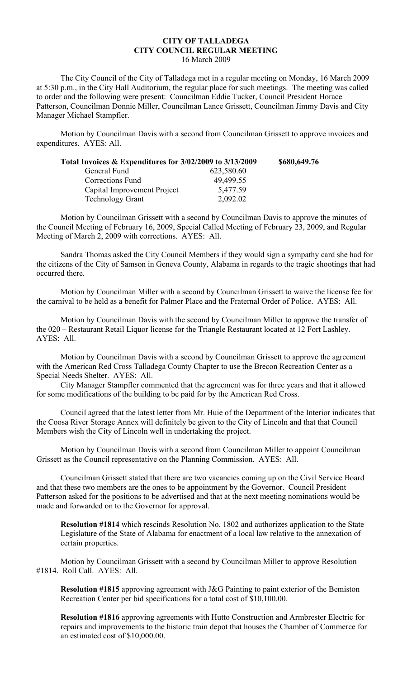## **CITY OF TALLADEGA CITY COUNCIL REGULAR MEETING** 16 March 2009

The City Council of the City of Talladega met in a regular meeting on Monday, 16 March 2009 at 5:30 p.m., in the City Hall Auditorium, the regular place for such meetings. The meeting was called to order and the following were present: Councilman Eddie Tucker, Council President Horace Patterson, Councilman Donnie Miller, Councilman Lance Grissett, Councilman Jimmy Davis and City Manager Michael Stampfler.

Motion by Councilman Davis with a second from Councilman Grissett to approve invoices and expenditures. AYES: All.

| Total Invoices & Expenditures for 3/02/2009 to 3/13/2009 | \$680,649.76 |
|----------------------------------------------------------|--------------|
| 623,580.60                                               |              |
| 49,499.55                                                |              |
| 5,477.59                                                 |              |
| 2,092.02                                                 |              |
|                                                          |              |

Motion by Councilman Grissett with a second by Councilman Davis to approve the minutes of the Council Meeting of February 16, 2009, Special Called Meeting of February 23, 2009, and Regular Meeting of March 2, 2009 with corrections. AYES: All.

Sandra Thomas asked the City Council Members if they would sign a sympathy card she had for the citizens of the City of Samson in Geneva County, Alabama in regards to the tragic shootings that had occurred there.

Motion by Councilman Miller with a second by Councilman Grissett to waive the license fee for the carnival to be held as a benefit for Palmer Place and the Fraternal Order of Police. AYES: All.

Motion by Councilman Davis with the second by Councilman Miller to approve the transfer of the 020 – Restaurant Retail Liquor license for the Triangle Restaurant located at 12 Fort Lashley. AYES: All.

Motion by Councilman Davis with a second by Councilman Grissett to approve the agreement with the American Red Cross Talladega County Chapter to use the Brecon Recreation Center as a Special Needs Shelter. AYES: All.

City Manager Stampfler commented that the agreement was for three years and that it allowed for some modifications of the building to be paid for by the American Red Cross.

Council agreed that the latest letter from Mr. Huie of the Department of the Interior indicates that the Coosa River Storage Annex will definitely be given to the City of Lincoln and that that Council Members wish the City of Lincoln well in undertaking the project.

Motion by Councilman Davis with a second from Councilman Miller to appoint Councilman Grissett as the Council representative on the Planning Commission. AYES: All.

Councilman Grissett stated that there are two vacancies coming up on the Civil Service Board and that these two members are the ones to be appointment by the Governor. Council President Patterson asked for the positions to be advertised and that at the next meeting nominations would be made and forwarded on to the Governor for approval.

**Resolution #1814** which rescinds Resolution No. 1802 and authorizes application to the State Legislature of the State of Alabama for enactment of a local law relative to the annexation of certain properties.

Motion by Councilman Grissett with a second by Councilman Miller to approve Resolution #1814. Roll Call. AYES: All.

**Resolution #1815** approving agreement with J&G Painting to paint exterior of the Bemiston Recreation Center per bid specifications for a total cost of \$10,100.00.

**Resolution #1816** approving agreements with Hutto Construction and Armbrester Electric for repairs and improvements to the historic train depot that houses the Chamber of Commerce for an estimated cost of \$10,000.00.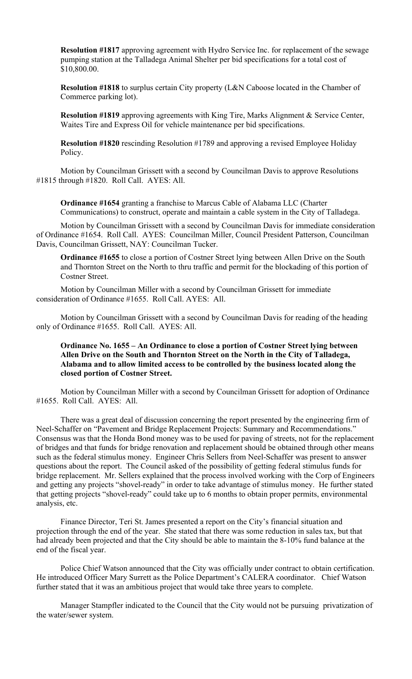**Resolution #1817** approving agreement with Hydro Service Inc. for replacement of the sewage pumping station at the Talladega Animal Shelter per bid specifications for a total cost of \$10,800.00.

**Resolution #1818** to surplus certain City property (L&N Caboose located in the Chamber of Commerce parking lot).

**Resolution #1819** approving agreements with King Tire, Marks Alignment & Service Center, Waites Tire and Express Oil for vehicle maintenance per bid specifications.

**Resolution #1820** rescinding Resolution #1789 and approving a revised Employee Holiday Policy.

Motion by Councilman Grissett with a second by Councilman Davis to approve Resolutions #1815 through #1820. Roll Call. AYES: All.

**Ordinance #1654** granting a franchise to Marcus Cable of Alabama LLC (Charter Communications) to construct, operate and maintain a cable system in the City of Talladega.

Motion by Councilman Grissett with a second by Councilman Davis for immediate consideration of Ordinance #1654. Roll Call. AYES: Councilman Miller, Council President Patterson, Councilman Davis, Councilman Grissett, NAY: Councilman Tucker.

**Ordinance #1655** to close a portion of Costner Street lying between Allen Drive on the South and Thornton Street on the North to thru traffic and permit for the blockading of this portion of Costner Street.

Motion by Councilman Miller with a second by Councilman Grissett for immediate consideration of Ordinance #1655. Roll Call. AYES: All.

Motion by Councilman Grissett with a second by Councilman Davis for reading of the heading only of Ordinance #1655. Roll Call. AYES: All.

## **Ordinance No. 1655 – An Ordinance to close a portion of Costner Street lying between Allen Drive on the South and Thornton Street on the North in the City of Talladega, Alabama and to allow limited access to be controlled by the business located along the closed portion of Costner Street.**

Motion by Councilman Miller with a second by Councilman Grissett for adoption of Ordinance #1655. Roll Call. AYES: All.

There was a great deal of discussion concerning the report presented by the engineering firm of Neel-Schaffer on "Pavement and Bridge Replacement Projects: Summary and Recommendations." Consensus was that the Honda Bond money was to be used for paving of streets, not for the replacement of bridges and that funds for bridge renovation and replacement should be obtained through other means such as the federal stimulus money. Engineer Chris Sellers from Neel-Schaffer was present to answer questions about the report. The Council asked of the possibility of getting federal stimulus funds for bridge replacement. Mr. Sellers explained that the process involved working with the Corp of Engineers and getting any projects "shovel-ready" in order to take advantage of stimulus money. He further stated that getting projects "shovel-ready" could take up to 6 months to obtain proper permits, environmental analysis, etc.

Finance Director, Teri St. James presented a report on the City's financial situation and projection through the end of the year. She stated that there was some reduction in sales tax, but that had already been projected and that the City should be able to maintain the 8-10% fund balance at the end of the fiscal year.

Police Chief Watson announced that the City was officially under contract to obtain certification. He introduced Officer Mary Surrett as the Police Department's CALERA coordinator. Chief Watson further stated that it was an ambitious project that would take three years to complete.

Manager Stampfler indicated to the Council that the City would not be pursuing privatization of the water/sewer system.